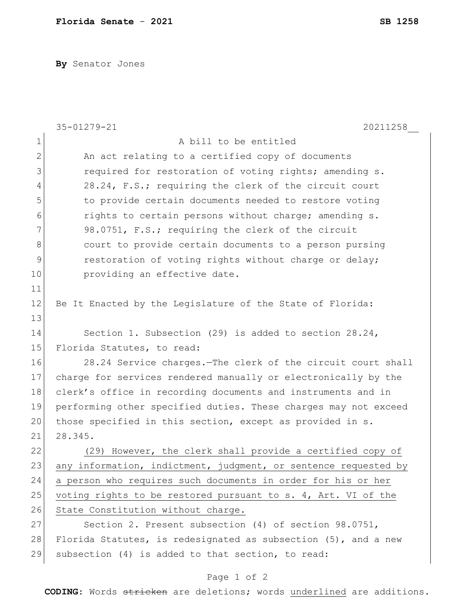**By** Senator Jones

|               | 35-01279-21<br>20211258                                         |
|---------------|-----------------------------------------------------------------|
| $\mathbf 1$   | A bill to be entitled                                           |
| $\mathbf{2}$  | An act relating to a certified copy of documents                |
| 3             | required for restoration of voting rights; amending s.          |
| 4             | 28.24, F.S.; requiring the clerk of the circuit court           |
| 5             | to provide certain documents needed to restore voting           |
| 6             | rights to certain persons without charge; amending s.           |
| 7             | 98.0751, F.S.; requiring the clerk of the circuit               |
| 8             | court to provide certain documents to a person pursing          |
| $\mathcal{G}$ | restoration of voting rights without charge or delay;           |
| 10            | providing an effective date.                                    |
| 11            |                                                                 |
| 12            | Be It Enacted by the Legislature of the State of Florida:       |
| 13            |                                                                 |
| 14            | Section 1. Subsection (29) is added to section 28.24,           |
| 15            | Florida Statutes, to read:                                      |
| 16            | 28.24 Service charges. The clerk of the circuit court shall     |
| 17            | charge for services rendered manually or electronically by the  |
| 18            | clerk's office in recording documents and instruments and in    |
| 19            | performing other specified duties. These charges may not exceed |
| 20            | those specified in this section, except as provided in s.       |
| 21            | 28.345.                                                         |
| 22            | However, the clerk shall provide a certified copy of<br>(29)    |
| 23            | any information, indictment, judgment, or sentence requested by |
| 24            | a person who requires such documents in order for his or her    |
| 25            | voting rights to be restored pursuant to s. 4, Art. VI of the   |
| 26            | State Constitution without charge.                              |
| 27            | Section 2. Present subsection (4) of section 98.0751,           |
| 28            | Florida Statutes, is redesignated as subsection (5), and a new  |
| 29            | subsection (4) is added to that section, to read:               |

## Page 1 of 2

**CODING**: Words stricken are deletions; words underlined are additions.